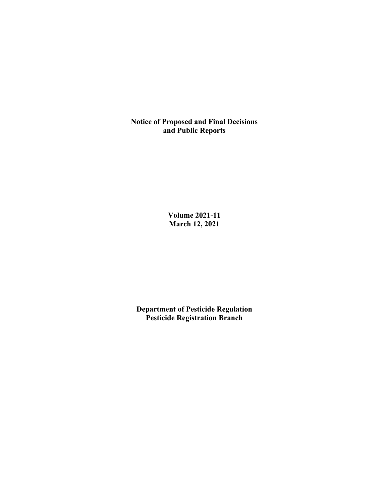**Notice of Proposed and Final Decisions and Public Reports**

> **Volume 2021-11 March 12, 2021**

**Department of Pesticide Regulation Pesticide Registration Branch**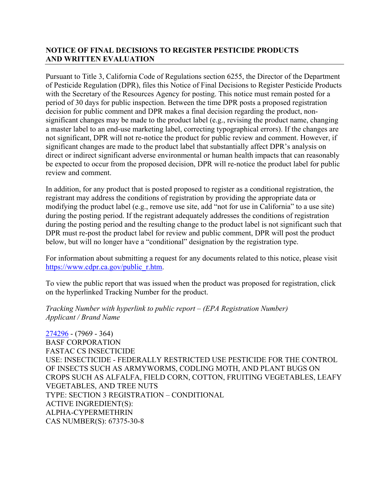## **NOTICE OF FINAL DECISIONS TO REGISTER PESTICIDE PRODUCTS AND WRITTEN EVALUATION**

Pursuant to Title 3, California Code of Regulations section 6255, the Director of the Department of Pesticide Regulation (DPR), files this Notice of Final Decisions to Register Pesticide Products with the Secretary of the Resources Agency for posting. This notice must remain posted for a period of 30 days for public inspection. Between the time DPR posts a proposed registration decision for public comment and DPR makes a final decision regarding the product, nonsignificant changes may be made to the product label (e.g., revising the product name, changing a master label to an end-use marketing label, correcting typographical errors). If the changes are not significant, DPR will not re-notice the product for public review and comment. However, if significant changes are made to the product label that substantially affect DPR's analysis on direct or indirect significant adverse environmental or human health impacts that can reasonably be expected to occur from the proposed decision, DPR will re-notice the product label for public review and comment.

In addition, for any product that is posted proposed to register as a conditional registration, the registrant may address the conditions of registration by providing the appropriate data or modifying the product label (e.g., remove use site, add "not for use in California" to a use site) during the posting period. If the registrant adequately addresses the conditions of registration during the posting period and the resulting change to the product label is not significant such that DPR must re-post the product label for review and public comment, DPR will post the product below, but will no longer have a "conditional" designation by the registration type.

For information about submitting a request for any documents related to this notice, please visit [https://www.cdpr.ca.gov/public\\_r.htm.](https://www.cdpr.ca.gov/public_r.htm)

To view the public report that was issued when the product was proposed for registration, click on the hyperlinked Tracking Number for the product.

*Tracking Number with hyperlink to public report – (EPA Registration Number) Applicant / Brand Name*

[274296](https://www.cdpr.ca.gov/docs/registration/nod/public_reports/274296.pdf) - (7969 - 364) BASF CORPORATION FASTAC CS INSECTICIDE USE: INSECTICIDE - FEDERALLY RESTRICTED USE PESTICIDE FOR THE CONTROL OF INSECTS SUCH AS ARMYWORMS, CODLING MOTH, AND PLANT BUGS ON CROPS SUCH AS ALFALFA, FIELD CORN, COTTON, FRUITING VEGETABLES, LEAFY VEGETABLES, AND TREE NUTS TYPE: SECTION 3 REGISTRATION – CONDITIONAL ACTIVE INGREDIENT(S): ALPHA-CYPERMETHRIN CAS NUMBER(S): 67375-30-8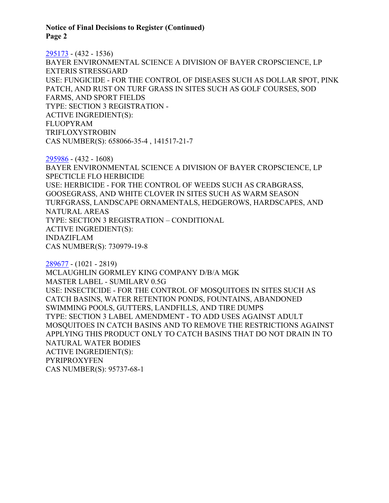**Notice of Final Decisions to Register (Continued) Page 2**

[295173](https://www.cdpr.ca.gov/docs/registration/nod/public_reports/295173.pdf) - (432 - 1536) BAYER ENVIRONMENTAL SCIENCE A DIVISION OF BAYER CROPSCIENCE, LP EXTERIS STRESSGARD USE: FUNGICIDE - FOR THE CONTROL OF DISEASES SUCH AS DOLLAR SPOT, PINK PATCH, AND RUST ON TURF GRASS IN SITES SUCH AS GOLF COURSES, SOD FARMS, AND SPORT FIELDS TYPE: SECTION 3 REGISTRATION - ACTIVE INGREDIENT(S): FLUOPYRAM TRIFLOXYSTROBIN CAS NUMBER(S): 658066-35-4 , 141517-21-7

[295986](https://www.cdpr.ca.gov/docs/registration/nod/public_reports/295986.pdf) - (432 - 1608) BAYER ENVIRONMENTAL SCIENCE A DIVISION OF BAYER CROPSCIENCE, LP SPECTICLE FLO HERBICIDE USE: HERBICIDE - FOR THE CONTROL OF WEEDS SUCH AS CRABGRASS, GOOSEGRASS, AND WHITE CLOVER IN SITES SUCH AS WARM SEASON TURFGRASS, LANDSCAPE ORNAMENTALS, HEDGEROWS, HARDSCAPES, AND NATURAL AREAS TYPE: SECTION 3 REGISTRATION – CONDITIONAL ACTIVE INGREDIENT(S): INDAZIFLAM CAS NUMBER(S): 730979-19-8

[289677](https://www.cdpr.ca.gov/docs/registration/nod/public_reports/289677.pdf) - (1021 - 2819) MCLAUGHLIN GORMLEY KING COMPANY D/B/A MGK MASTER LABEL - SUMILARV 0.5G USE: INSECTICIDE - FOR THE CONTROL OF MOSQUITOES IN SITES SUCH AS CATCH BASINS, WATER RETENTION PONDS, FOUNTAINS, ABANDONED SWIMMING POOLS, GUTTERS, LANDFILLS, AND TIRE DUMPS TYPE: SECTION 3 LABEL AMENDMENT - TO ADD USES AGAINST ADULT MOSQUITOES IN CATCH BASINS AND TO REMOVE THE RESTRICTIONS AGAINST APPLYING THIS PRODUCT ONLY TO CATCH BASINS THAT DO NOT DRAIN IN TO NATURAL WATER BODIES ACTIVE INGREDIENT(S): PYRIPROXYFEN CAS NUMBER(S): 95737-68-1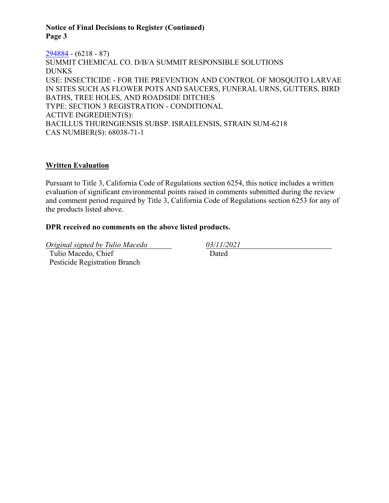### **Notice of Final Decisions to Register (Continued) Page 3**

[294884](https://www.cdpr.ca.gov/docs/registration/nod/public_reports/294884.pdf) - (6218 - 87) SUMMIT CHEMICAL CO. D/B/A SUMMIT RESPONSIBLE SOLUTIONS DUNKS USE: INSECTICIDE - FOR THE PREVENTION AND CONTROL OF MOSQUITO LARVAE IN SITES SUCH AS FLOWER POTS AND SAUCERS, FUNERAL URNS, GUTTERS, BIRD BATHS, TREE HOLES, AND ROADSIDE DITCHES TYPE: SECTION 3 REGISTRATION - CONDITIONAL ACTIVE INGREDIENT(S): BACILLUS THURINGIENSIS SUBSP. ISRAELENSIS, STRAIN SUM-6218 CAS NUMBER(S): 68038-71-1

# **Written Evaluation**

Pursuant to Title 3, California Code of Regulations section 6254, this notice includes a written evaluation of significant environmental points raised in comments submitted during the review and comment period required by Title 3, California Code of Regulations section 6253 for any of the products listed above.

### **DPR received no comments on the above listed products.**

*Original signed by Tulio Macedo 03/11/2021* Tulio Macedo, Chief Pesticide Registration Branch

Dated